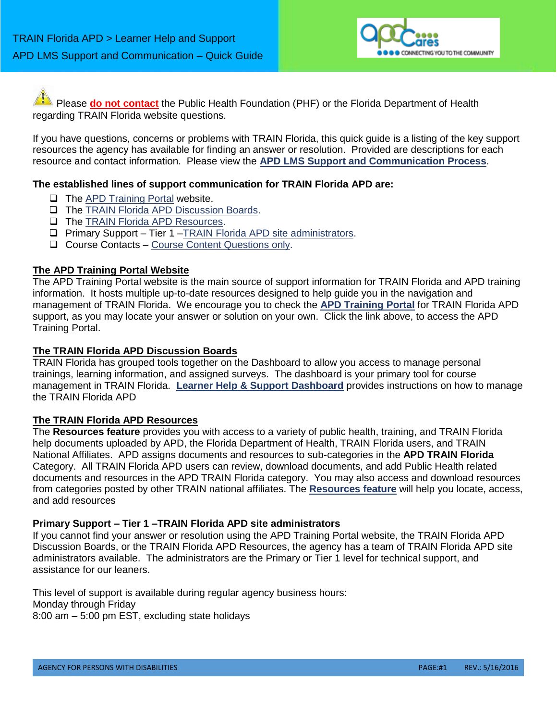

Please **do not contact** the Public Health Foundation (PHF) or the Florida Department of Health regarding TRAIN Florida website questions.

If you have questions, concerns or problems with TRAIN Florida, this quick guide is a listing of the key support resources the agency has available for finding an answer or resolution. Provided are descriptions for each resource and contact information. Please view the **APD LMS Support and Communication Process**.

# **The established lines of support communication for TRAIN Florida APD are:**

- $\Box$  The [APD Training Portal](http://apdcares.org/providers/training/) website.
- **The [TRAIN Florida APD Discussion Boards.](http://apdcares.org/providers/training/docs/apd-discussion-board.pdf)**
- **The [TRAIN Florida APD Resources.](http://apdcares.org/providers/training/docs/apd-resources.pdf)**
- Primary Support Tier 1 [–TRAIN Florida APD site administrators.](mailto:apd.lmssupport@apdcares.gov?subject=TRAIN%20Florida%20APD%20Support)
- □ Course Contacts [Course Content Questions only.](http://www.floridahealth.gov/provider-and-partner-resources/training/train-florida/_documents/qalhowdoimanageacourse.pdf)

### **The APD Training Portal Website**

The APD Training Portal website is the main source of support information for TRAIN Florida and APD training information. It hosts multiple up-to-date resources designed to help guide you in the navigation and management of TRAIN Florida. We encourage you to check the **[APD Training Portal](http://apdcares.org/providers/training/)** for TRAIN Florida APD support, as you may locate your answer or solution on your own. Click the link above, to access the APD Training Portal.

### **The TRAIN Florida APD Discussion Boards**

TRAIN Florida has grouped tools together on the Dashboard to allow you access to manage personal trainings, learning information, and assigned surveys. The dashboard is your primary tool for course management in TRAIN Florida. **[Learner Help & Support Dashboard](http://apdcares.org/providers/training/docs/apd-manage-dashboard.pdf)** provides instructions on how to manage the TRAIN Florida APD

# **The TRAIN Florida APD Resources**

The **Resources feature** provides you with access to a variety of public health, training, and TRAIN Florida help documents uploaded by APD, the Florida Department of Health, TRAIN Florida users, and TRAIN National Affiliates. APD assigns documents and resources to sub-categories in the **APD TRAIN Florida**  Category. All TRAIN Florida APD users can review, download documents, and add Public Health related documents and resources in the APD TRAIN Florida category. You may also access and download resources from categories posted by other TRAIN national affiliates. The **[Resources feature](http://apdcares.org/providers/training/docs/apd-resources.pdf)** will help you locate, access, and add resources

### **Primary Support – Tier 1 –TRAIN Florida APD site administrators**

If you cannot find your answer or resolution using the APD Training Portal website, the TRAIN Florida APD Discussion Boards, or the TRAIN Florida APD Resources, the agency has a team of TRAIN Florida APD site administrators available. The administrators are the Primary or Tier 1 level for technical support, and assistance for our leaners.

This level of support is available during regular agency business hours: Monday through Friday 8:00 am – 5:00 pm EST, excluding state holidays